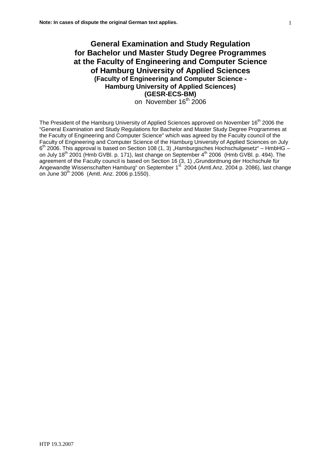# **General Examination and Study Regulation for Bachelor und Master Study Degree Programmes at the Faculty of Engineering and Computer Science of Hamburg University of Applied Sciences (Faculty of Engineering and Computer Science - Hamburg University of Applied Sciences) (GESR-ECS-BM)** on November 16<sup>th</sup> 2006

The President of the Hamburg University of Applied Sciences approved on November 16<sup>th</sup> 2006 the "General Examination and Study Regulations for Bachelor and Master Study Degree Programmes at the Faculty of Engineering and Computer Science" which was agreed by the Faculty council of the Faculty of Engineering and Computer Science of the Hamburg University of Applied Sciences on July  $6<sup>th</sup>$  2006. This approval is based on Section 108 (1, 3) "Hamburgisches Hochschulgesetz" – HmbHG – on July 18<sup>th</sup> 2001 (Hmb GVBl. p. 171), last change on September 4<sup>th</sup> 2006 (Hmb GVBl. p. 494). The agreement of the Faculty council is based on Section 16 (3, 1) "Grundordnung der Hochschule für Angewandte Wissenschaften Hamburg" on September 1<sup>st</sup> 2004 (Amtl.Anz. 2004 p. 2086), last change on June 30<sup>th</sup> 2006 (Amtl. Anz. 2006 p. 1550).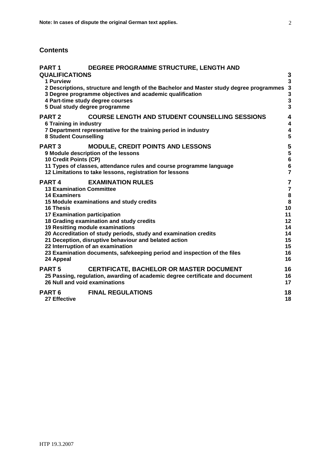# **Contents**

| <b>PART 1</b>                                                                                                                           | <b>DEGREE PROGRAMME STRUCTURE, LENGTH AND</b>                                                                                                                                                                                                                                                                                                                                                      |                                                                                                  |
|-----------------------------------------------------------------------------------------------------------------------------------------|----------------------------------------------------------------------------------------------------------------------------------------------------------------------------------------------------------------------------------------------------------------------------------------------------------------------------------------------------------------------------------------------------|--------------------------------------------------------------------------------------------------|
| <b>QUALIFICATIONS</b><br>1 Purview                                                                                                      | 2 Descriptions, structure and length of the Bachelor and Master study degree programmes 3<br>3 Degree programme objectives and academic qualification<br>4 Part-time study degree courses<br>5 Dual study degree programme                                                                                                                                                                         | 3<br>$\overline{\mathbf{3}}$<br>3<br>$\overline{3}$<br>$\overline{\mathbf{3}}$                   |
| <b>PART 2</b><br><b>6 Training in industry</b><br><b>8 Student Counselling</b>                                                          | <b>COURSE LENGTH AND STUDENT COUNSELLING SESSIONS</b><br>7 Department representative for the training period in industry                                                                                                                                                                                                                                                                           | $\overline{\mathbf{4}}$<br>$\overline{4}$<br>$\overline{\mathbf{4}}$<br>5                        |
| <b>PART3</b><br>10 Credit Points (CP)                                                                                                   | <b>MODULE, CREDIT POINTS AND LESSONS</b><br>9 Module description of the lessons<br>11 Types of classes, attendance rules and course programme language<br>12 Limitations to take lessons, registration for lessons                                                                                                                                                                                 | 5<br>5<br>$6\phantom{1}6$<br>$\boldsymbol{6}$<br>$\overline{7}$                                  |
| <b>PART4</b><br><b>13 Examination Committee</b><br><b>14 Examiners</b><br><b>16 Thesis</b><br>17 Examination participation<br>24 Appeal | <b>EXAMINATION RULES</b><br>15 Module examinations and study credits<br>18 Grading examination and study credits<br>19 Resitting module examinations<br>20 Accreditation of study periods, study and examination credits<br>21 Deception, disruptive behaviour and belated action<br>22 Interruption of an examination<br>23 Examination documents, safekeeping period and inspection of the files | $\overline{7}$<br>$\overline{7}$<br>8<br>8<br>10<br>11<br>12<br>14<br>14<br>15<br>15<br>16<br>16 |
| PART <sub>5</sub><br>26 Null and void examinations                                                                                      | <b>CERTIFICATE, BACHELOR OR MASTER DOCUMENT</b><br>25 Passing, regulation, awarding of academic degree certificate and document                                                                                                                                                                                                                                                                    | 16<br>16<br>17                                                                                   |
| PART <sub>6</sub><br>27 Effective                                                                                                       | <b>FINAL REGULATIONS</b>                                                                                                                                                                                                                                                                                                                                                                           | 18<br>18                                                                                         |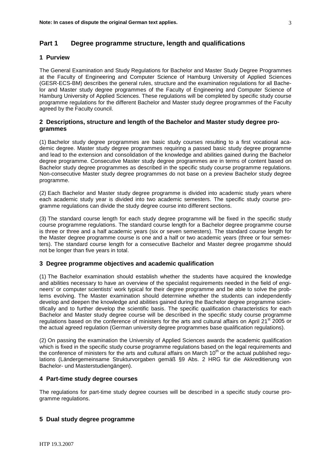# **Part 1 Degree programme structure, length and qualifications**

## **1 Purview**

The General Examination and Study Regulations for Bachelor and Master Study Degree Programmes at the Faculty of Engineering and Computer Science of Hamburg University of Applied Sciences (GESR-ECS-BM) describes the general rules, structure and the examination regulations for all Bachelor and Master study degree programmes of the Faculty of Engineering and Computer Science of Hamburg University of Applied Sciences. These regulations will be completed by specific study course programme regulations for the different Bachelor and Master study degree programmes of the Faculty agreed by the Faculty council.

## **2 Descriptions, structure and length of the Bachelor and Master study degree programmes**

(1) Bachelor study degree programmes are basic study courses resulting to a first vocational academic degree. Master study degree programmes requiring a passed basic study degree programme and lead to the extension and consolidation of the knowledge and abilities gained during the Bachelor degree programme. Consecutive Master study degree programmes are in terms of content based on Bachelor study degree programmes as described in the specific study course programme regulations. Non-consecutive Master study degree programmes do not base on a preview Bachelor study degree programme.

(2) Each Bachelor and Master study degree programme is divided into academic study years where each academic study year is divided into two academic semesters. The specific study course programme regulations can divide the study degree course into different sections.

(3) The standard course length for each study degree programme will be fixed in the specific study course programme regulations. The standard course length for a Bachelor degree programme course is three or three and a half academic years (six or seven semesters). The standard course length for the Master degree programme course is one and a half or two academic years (three or four semesters). The standard course length for a consecutive Bachelor and Master degree progamme should not be longer than five years in total.

## **3 Degree programme objectives and academic qualification**

(1) The Bachelor examination should establish whether the students have acquired the knowledge and abilities necessary to have an overview of the specialist requirements needed in the field of engineers' or computer scientists' work typical for their degree programme and be able to solve the problems evolving. The Master examination should determine whether the students can independently develop and deepen the knowledge and abilities gained during the Bachelor degree programme scientifically and to further develop the scientific basis. The specific qualification characteristics for each Bachelor and Master study degree course will be described in the specific study course programme regulations based on the conference of ministers for the arts and cultural affairs on April 21<sup>st</sup> 2005 or the actual agreed regulation (German university degree programmes base qualification regulations).

(2) On passing the examination the University of Applied Sciences awards the academic qualification which is fixed in the specific study course programme regulations based on the legal requirements and the conference of ministers for the arts and cultural affairs on March  $10<sup>th</sup>$  or the actual published regulations (Ländergemeinsame Strukturvorgaben gemäß §9 Abs. 2 HRG für die Akkreditierung von Bachelor- und Masterstudiengängen).

## **4 Part-time study degree courses**

The regulations for part-time study degree courses will be described in a specific study course programme regulations.

## **5 Dual study degree programme**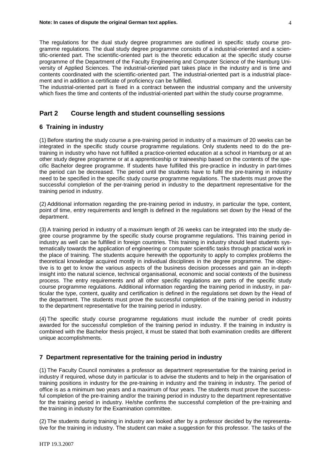The regulations for the dual study degree programmes are outlined in specific study course programme regulations. The dual study degree programme consists of a industrial-oriented and a scientific-oriented part. The scientific-oriented part is the theoretic education at the specific study course programme of the Department of the Faculty Engineering and Computer Science of the Hamburg University of Applied Sciences. The industrial-oriented part takes place in the industry and is time and contents coordinated with the scientific-oriented part. The industrial-oriented part is a industrial placement and in addition a certificate of proficiency can be fulfilled.

The industrial-oriented part is fixed in a contract between the industrial company and the university which fixes the time and contents of the industrial-oriented part within the study course programme.

## **Part 2 Course length and student counselling sessions**

## **6 Training in industry**

(1) Before starting the study course a pre-training period in industry of a maximum of 20 weeks can be integrated in the specific study course programme regulations. Only students need to do the pretraining in industry who have not fulfilled a practice-oriented education at a school in Hamburg or at an other study degree programme or at a apprenticeship or traineeship based on the contents of the specific Bachelor degree programme. If students have fulfilled this pre-practice in industry in part-times the period can be decreased. The period until the students have to fulfil the pre-training in industry need to be specified in the specific study course programme regulations. The students must prove the successful completion of the per-training period in industry to the department representative for the training period in industry.

(2) Additional information regarding the pre-training period in industry, in particular the type, content, point of time, entry requirements and length is defined in the regulations set down by the Head of the department.

(3) A training period in industry of a maximum length of 26 weeks can be integrated into the study degree course programme by the specific study course programme regulations. This training period in industry as well can be fulfilled in foreign countries. This training in industry should lead students systematically towards the application of engineering or computer scientific tasks through practical work in the place of training. The students acquire herewith the opportunity to apply to complex problems the theoretical knowledge acquired mostly in individual disciplines in the degree programme. The objective is to get to know the various aspects of the business decision processes and gain an in-depth insight into the natural science, technical organisational, economic and social contexts of the business process. The entry requirements and all other specific regulations are parts of the specific study course programme regulations. Additional information regarding the training period in industry, in particular the type, content, quality and certification is defined in the regulations set down by the Head of the department. The students must prove the successful completion of the training period in industry to the department representative for the training period in industry.

(4) The specific study course programme regulations must include the number of credit points awarded for the successful completion of the training period in industry. If the training in industry is combined with the Bachelor thesis project, it must be stated that both examination credits are different unique accomplishments.

## **7 Department representative for the training period in industry**

(1) The Faculty Council nominates a professor as department representative for the training period in industry if required, whose duty in particular is to advise the students and to help in the organisation of training positions in industry for the pre-training in industry and the training in industry. The period of office is as a minimum two years and a maximum of four years. The students must prove the successful completion of the pre-training and/or the training period in industry to the department representative for the training period in industry. He/she confirms the successful completion of the pre-training and the training in industry for the Examination committee.

(2) The students during training in industry are looked after by a professor decided by the representative for the training in industry. The student can make a suggestion for this professor. The tasks of the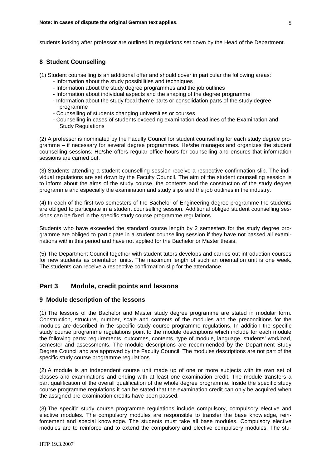students looking after professor are outlined in regulations set down by the Head of the Department.

## **8 Student Counselling**

(1) Student counselling is an additional offer and should cover in particular the following areas:

- Information about the study possibilities and techniques
- Information about the study degree programmes and the job outlines
- Information about individual aspects and the shaping of the degree programme
- Information about the study focal theme parts or consolidation parts of the study degree programme
- Counselling of students changing universities or courses
- Counselling in cases of students exceeding examination deadlines of the Examination and Study Regulations

(2) A professor is nominated by the Faculty Council for student counselling for each study degree programme – if necessary for several degree programmes. He/she manages and organizes the student counselling sessions. He/she offers regular office hours for counselling and ensures that information sessions are carried out.

(3) Students attending a student counselling session receive a respective confirmation slip. The individual regulations are set down by the Faculty Council. The aim of the student counselling session is to inform about the aims of the study course, the contents and the construction of the study degree programme and especially the examination and study slips and the job outlines in the industry.

(4) In each of the first two semesters of the Bachelor of Engineering degree programme the students are obliged to participate in a student counselling session. Additional obliged student counselling sessions can be fixed in the specific study course programme regulations.

Students who have exceeded the standard course length by 2 semesters for the study degree programme are obliged to participate in a student counselling session if they have not passed all examinations within this period and have not applied for the Bachelor or Master thesis.

(5) The Department Council together with student tutors develops and carries out introduction courses for new students as orientation units. The maximum length of such an orientation unit is one week. The students can receive a respective confirmation slip for the attendance.

## **Part 3 Module, credit points and lessons**

### **9 Module description of the lessons**

(1) The lessons of the Bachelor and Master study degree programme are stated in modular form. Construction, structure, number, scale and contents of the modules and the preconditions for the modules are described in the specific study course programme regulations. In addition the specific study course programme regulations point to the module descriptions which include for each module the following parts: requirements, outcomes, contents, type of module, language, students' workload, semester and assessments. The module descriptions are recommended by the Department Study Degree Council and are approved by the Faculty Council. The modules descriptions are not part of the specific study course programme regulations.

(2) A module is an independent course unit made up of one or more subjects with its own set of classes and examinations and ending with at least one examination credit. The module transfers a part qualification of the overall qualification of the whole degree programme. Inside the specific study course programme regulations it can be stated that the examination credit can only be acquired when the assigned pre-examination credits have been passed.

(3) The specific study course programme regulations include compulsory, compulsory elective and elective modules. The compulsory modules are responsible to transfer the base knowledge, reinforcement and special knowledge. The students must take all base modules. Compulsory elective modules are to reinforce and to extend the compulsory and elective compulsory modules. The stu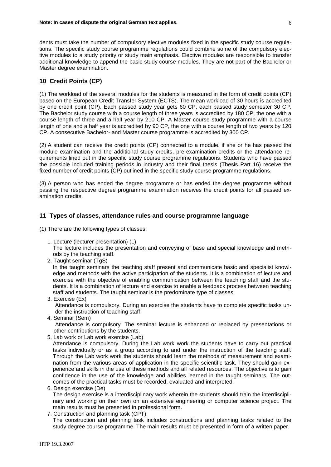dents must take the number of compulsory elective modules fixed in the specific study course regulations. The specific study course programme regulations could combine some of the compulsory elective modules to a study priority or study main emphasis. Elective modules are responsible to transfer additional knowledge to append the basic study course modules. They are not part of the Bachelor or Master degree examination.

## **10 Credit Points (CP)**

(1) The workload of the several modules for the students is measured in the form of credit points (CP) based on the European Credit Transfer System (ECTS). The mean workload of 30 hours is accredited by one credit point (CP). Each passed study year gets 60 CP, each passed study semester 30 CP. The Bachelor study course with a course length of three years is accredited by 180 CP, the one with a course length of three and a half year by 210 CP. A Master course study programme with a course length of one and a half year is accredited by 90 CP, the one with a course length of two years by 120 CP. A consecutive Bachelor- and Master course programme is accredited by 300 CP.

(2) A student can receive the credit points (CP) connected to a module, if she or he has passed the module examination and the additional study credits, pre-examination credits or the attendance requirements lined out in the specific study course programme regulations. Students who have passed the possible included training periods in industry and their final thesis (Thesis Part 16) receive the fixed number of credit points (CP) outlined in the specific study course programme regulations.

(3) A person who has ended the degree programme or has ended the degree programme without passing the respective degree programme examination receives the credit points for all passed examination credits.

## **11 Types of classes, attendance rules and course programme language**

(1) There are the following types of classes:

1. Lecture (lecturer presentation) (L)

The lecture includes the presentation and conveying of base and special knowledge and methods by the teaching staff.

2. Taught seminar (TgS)

In the taught seminars the teaching staff present and communicate basic and specialist knowledge and methods with the active participation of the students. It is a combination of lecture and exercise with the objective of enabling communication between the teaching staff and the students. It is a combination of lecture and exercise to enable a feedback process between teaching staff and students. The taught seminar is the predominate type of classes.

3. Exercise (Ex)

Attendance is compulsory. During an exercise the students have to complete specific tasks under the instruction of teaching staff.

4. Seminar (Sem)

Attendance is compulsory. The seminar lecture is enhanced or replaced by presentations or other contributions by the students.

5. Lab work or Lab work exercise (Lab)

Attendance is compulsory. During the Lab work work the students have to carry out practical tasks individually or as a group according to and under the instruction of the teaching staff. Through the Lab work work the students should learn the methods of measurement and examination from the various areas of application in the specific scientific task. They should gain experience and skills in the use of these methods and all related resources. The objective is to gain confidence in the use of the knowledge and abilities learned in the taught seminars. The outcomes of the practical tasks must be recorded, evaluated and interpreted.

6. Design exercise (De)

The design exercise is a interdisciplinary work wherein the students should train the interdisciplinary and working on their own on an extensive engineering or computer science project. The main results must be presented in professional form.

7. Construction and planning task (CPT):

The construction and planning task includes constructions and planning tasks related to the study degree course programme. The main results must be presented in form of a written paper.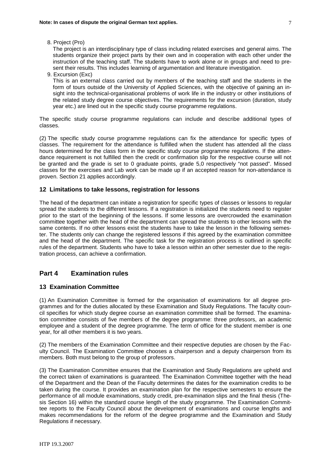8. Project (Pro)

The project is an interdisciplinary type of class including related exercises and general aims. The students organize their project parts by their own and in cooperation with each other under the instruction of the teaching staff. The students have to work alone or in groups and need to present their results. This includes learning of argumentation and literature investigation.

9. Excursion (Exc)

This is an external class carried out by members of the teaching staff and the students in the form of tours outside of the University of Applied Sciences, with the objective of gaining an insight into the technical-organisational problems of work life in the industry or other institutions of the related study degree course objectives. The requirements for the excursion (duration, study year etc.) are lined out in the specific study course programme regulations.

The specific study course programme regulations can include and describe additional types of classes.

(2) The specific study course programme regulations can fix the attendance for specific types of classes. The requirement for the attendance is fulfilled when the student has attended all the class hours determined for the class form in the specific study course programme regulations. If the attendance requirement is not fulfilled then the credit or confirmation slip for the respective course will not be granted and the grade is set to 0 graduate points, grade 5.0 respectively "not passed". Missed classes for the exercises and Lab work can be made up if an accepted reason for non-attendance is proven. Section 21 applies accordingly.

### **12 Limitations to take lessons, registration for lessons**

The head of the department can initiate a registration for specific types of classes or lessons to regular spread the students to the different lessons. If a registration is initialized the students need to register prior to the start of the beginning of the lessons. If some lessons are overcrowded the examination committee together with the head of the department can spread the students to other lessons with the same contents. If no other lessons exist the students have to take the lesson in the following semester. The students only can change the registered lessons if this agreed by the examination committee and the head of the department. The specific task for the registration process is outlined in specific rules of the department. Students who have to take a lesson within an other semester due to the registration process, can achieve a confirmation.

## **Part 4 Examination rules**

## **13 Examination Committee**

(1) An Examination Committee is formed for the organisation of examinations for all degree programmes and for the duties allocated by these Examination and Study Regulations. The faculty council specifies for which study degree course an examination committee shall be formed. The examination committee consists of five members of the degree programme: three professors, an academic employee and a student of the degree programme. The term of office for the student member is one year, for all other members it is two years.

(2) The members of the Examination Committee and their respective deputies are chosen by the Faculty Council. The Examination Committee chooses a chairperson and a deputy chairperson from its members. Both must belong to the group of professors.

(3) The Examination Committee ensures that the Examination and Study Regulations are upheld and the correct taken of examinations is guaranteed. The Examination Committee together with the head of the Department and the Dean of the Faculty determines the dates for the examination credits to be taken during the course. It provides an examination plan for the respective semesters to ensure the performance of all module examinations, study credit, pre-examination slips and the final thesis (Thesis Section 16) within the standard course length of the study programme. The Examination Committee reports to the Faculty Council about the development of examinations and course lengths and makes recommendations for the reform of the degree programme and the Examination and Study Regulations if necessary.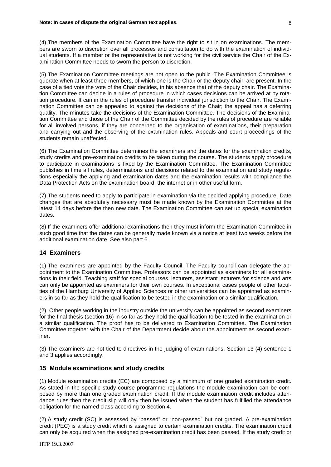(4) The members of the Examination Committee have the right to sit in on examinations. The members are sworn to discretion over all processes and consultation to do with the examination of individual students. If a member or the representative is not working for the civil service the Chair of the Examination Committee needs to sworn the person to discretion.

(5) The Examination Committee meetings are not open to the public. The Examination Committee is quorate when at least three members, of which one is the Chair or the deputy chair, are present. In the case of a tied vote the vote of the Chair decides, in his absence that of the deputy chair. The Examination Committee can decide in a rules of procedure in which cases decisions can be arrived at by rotation procedure. It can in the rules of procedure transfer individual jurisdiction to the Chair. The Examination Committee can be appealed to against the decisions of the Chair; the appeal has a deferring quality. The minutes take the decisions of the Examination Committee. The decisions of the Examination Committee and those of the Chair of the Committee decided by the rules of procedure are reliable for all involved persons, if they are concerned to the organisation of examinations, their preparation and carrying out and the observing of the examination rules. Appeals and court proceedings of the students remain unaffected.

(6) The Examination Committee determines the examiners and the dates for the examination credits, study credits and pre-examination credits to be taken during the course. The students apply procedure to participate in examinations is fixed by the Examination Committee. The Examination Committee publishes in time all rules, determinations and decisions related to the examination and study regulations especially the applying and examination dates and the examination results with compliance the Data Protection Acts on the examination board, the internet or in other useful form.

(7) The students need to apply to participate in examination via the decided applying procedure. Date changes that are absolutely necessary must be made known by the Examination Committee at the latest 14 days before the then new date. The Examination Committee can set up special examination dates.

(8) If the examiners offer additional examinations then they must inform the Examination Committee in such good time that the dates can be generally made known via a notice at least two weeks before the additional examination date. See also part 6.

### **14 Examiners**

(1) The examiners are appointed by the Faculty Council. The Faculty council can delegate the appointment to the Examination Committee. Professors can be appointed as examiners for all examinations in their field. Teaching staff for special courses, lecturers, assistant lecturers for science and arts can only be appointed as examiners for their own courses. In exceptional cases people of other faculties of the Hamburg University of Applied Sciences or other universities can be appointed as examiners in so far as they hold the qualification to be tested in the examination or a similar qualification.

(2) Other people working in the industry outside the university can be appointed as second examiners for the final thesis (section 16) in so far as they hold the qualification to be tested in the examination or a similar qualification. The proof has to be delivered to Examination Committee. The Examination Committee together with the Chair of the Department decide about the appointment as second examiner.

(3) The examiners are not tied to directives in the judging of examinations. Section 13 (4) sentence 1 and 3 applies accordingly.

## **15 Module examinations and study credits**

(1) Module examination credits (EC) are composed by a minimum of one graded examination credit. As stated in the specific study course programme regulations the module examination can be composed by more than one graded examination credit. If the module examination credit includes attendance rules then the credit slip will only then be issued when the student has fulfilled the attendance obligation for the named class according to Section 4.

(2) A study credit (SC) is assessed by "passed" or "non-passed" but not graded. A pre-examination credit (PEC) is a study credit which is assigned to certain examination credits. The examination credit can only be acquired when the assigned pre-examination credit has been passed. If the study credit or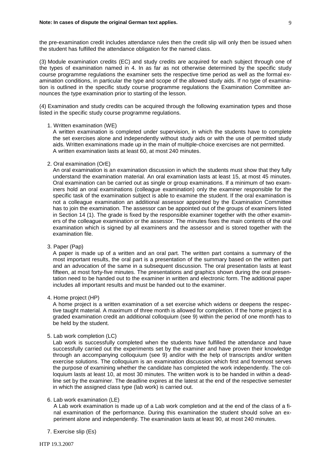the pre-examination credit includes attendance rules then the credit slip will only then be issued when the student has fulfilled the attendance obligation for the named class.

(3) Module examination credits (EC) and study credits are acquired for each subject through one of the types of examination named in 4. In as far as not otherwise determined by the specific study course programme regulations the examiner sets the respective time period as well as the formal examination conditions, in particular the type and scope of the allowed study aids. If no type of examination is outlined in the specific study course programme regulations the Examination Committee announces the type examination prior to starting of the lesson.

(4) Examination and study credits can be acquired through the following examination types and those listed in the specific study course programme regulations.

#### 1. Written examination (WE)

A written examination is completed under supervision, in which the students have to complete the set exercises alone and independently without study aids or with the use of permitted study aids. Written examinations made up in the main of multiple-choice exercises are not permitted. A written examination lasts at least 60, at most 240 minutes.

#### 2. Oral examination (OrE)

An oral examination is an examination discussion in which the students must show that they fully understand the examination material. An oral examination lasts at least 15, at most 45 minutes. Oral examination can be carried out as single or group examinations. If a minimum of two examiners hold an oral examinations (colleague examination) only the examiner responsible for the specific task of the examination subject is able to examine the student. If the oral examination is not a colleague examination an additional assessor appointed by the Examination Committee has to join the examination. The assessor can be appointed out of the groups of examiners listed in Section 14 (1). The grade is fixed by the responsible examiner together with the other examiners of the colleague examination or the assessor. The minutes fixes the main contents of the oral examination which is signed by all examiners and the assessor and is stored together with the examination file.

### 3. Paper (Pap)

A paper is made up of a written and an oral part. The written part contains a summary of the most important results, the oral part is a presentation of the summary based on the written part and an advocation of the same in a subsequent discussion. The oral presentation lasts at least fifteen, at most forty-five minutes. The presentations and graphics shown during the oral presentation need to be handed out to the examiner in written and electronic form. The additional paper includes all important results and must be handed out to the examiner.

#### 4. Home project (HP)

A home project is a written examination of a set exercise which widens or deepens the respective taught material. A maximum of three month is allowed for completion. If the home project is a graded examination credit an additional colloquium (see 9) within the period of one month has to be held by the student.

#### 5. Lab work completion (LC)

Lab work is successfully completed when the students have fulfilled the attendance and have successfully carried out the experiments set by the examiner and have proven their knowledge through an accompanying colloquium (see 9) and/or with the help of transcripts and/or written exercise solutions. The colloquium is an examination discussion which first and foremost serves the purpose of examining whether the candidate has completed the work independently. The colloquium lasts at least 10, at most 30 minutes. The written work is to be handed in within a deadline set by the examiner. The deadline expires at the latest at the end of the respective semester in which the assigned class type (lab work) is carried out.

#### 6. Lab work examination (LE)

A Lab work examination is made up of a Lab work completion and at the end of the class of a final examination of the performance. During this examination the student should solve an experiment alone and independently. The examination lasts at least 90, at most 240 minutes.

7. Exercise slip (Es)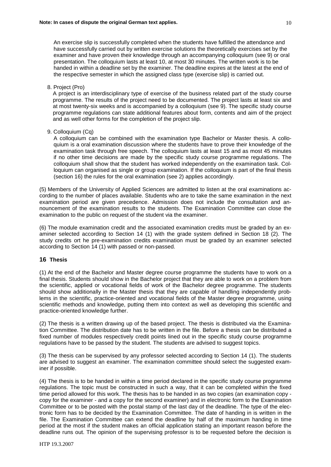An exercise slip is successfully completed when the students have fulfilled the attendance and have successfully carried out by written exercise solutions the theoretically exercises set by the examiner and have proven their knowledge through an accompanying colloquium (see 9) or oral presentation. The colloquium lasts at least 10, at most 30 minutes. The written work is to be handed in within a deadline set by the examiner. The deadline expires at the latest at the end of the respective semester in which the assigned class type (exercise slip) is carried out.

8. Project (Pro)

A project is an interdisciplinary type of exercise of the business related part of the study course programme. The results of the project need to be documented. The project lasts at least six and at most twenty-six weeks and is accompanied by a colloquium (see 9). The specific study course programme regulations can state additional features about form, contents and aim of the project and as well other forms for the completion of the project slip.

9. Colloquium (Cq)

A colloquium can be combined with the examination type Bachelor or Master thesis. A colloquium is a oral examination discussion where the students have to prove their knowledge of the examination task through free speech. The colloquium lasts at least 15 and as most 45 minutes if no other time decisions are made by the specific study course programme regulations. The colloquium shall show that the student has worked independently on the examination task. Colloquium can organised as single or group examination. If the colloquium is part of the final thesis (section 16) the rules for the oral examination (see 2) applies accordingly.

(5) Members of the University of Applied Sciences are admitted to listen at the oral examinations according to the number of places available. Students who are to take the same examination in the next examination period are given precedence. Admission does not include the consultation and announcement of the examination results to the students. The Examination Committee can close the examination to the public on request of the student via the examiner.

(6) The module examination credit and the associated examination credits must be graded by an examiner selected according to Section 14 (1) with the grade system defined in Section 18 (2). The study credits ort he pre-examination credits examination must be graded by an examiner selected according to Section 14 (1) with passed or non-passed.

### **16 Thesis**

(1) At the end of the Bachelor and Master degree course programme the students have to work on a final thesis. Students should show in the Bachelor project that they are able to work on a problem from the scientific, applied or vocational fields of work of the Bachelor degree programme. The students should show additionally in the Master thesis that they are capable of handling independently problems in the scientific, practice-oriented and vocational fields of the Master degree programme, using scientific methods and knowledge, putting them into context as well as developing this scientific and practice-oriented knowledge further.

(2) The thesis is a written drawing up of the based project. The thesis is distributed via the Examination Committee. The distribution date has to be written in the file. Before a thesis can be distributed a fixed number of modules respectively credit points lined out in the specific study course programme regulations have to be passed by the student. The students are advised to suggest topics.

(3) The thesis can be supervised by any professor selected according to Section 14 (1). The students are advised to suggest an examiner. The examination committee should select the suggested examiner if possible.

(4) The thesis is to be handed in within a time period declared in the specific study course programme regulations. The topic must be constructed in such a way, that it can be completed within the fixed time period allowed for this work. The thesis has to be handed in as two copies (an examination copy copy for the examiner - and a copy for the second examiner) and in electronic form to the Examination Committee or to be posted with the postal stamp of the last day of the deadline. The type of the electronic form has to be decided by the Examination Committee. The date of handing in is written in the file. The Examination Committee can extend the deadline by half of the maximum handing in time period at the most if the student makes an official application stating an important reason before the deadline runs out. The opinion of the supervising professor is to be requested before the decision is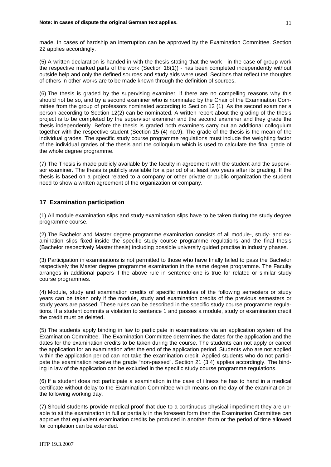made. In cases of hardship an interruption can be approved by the Examination Committee. Section 22 applies accordingly.

(5) A written declaration is handed in with the thesis stating that the work - in the case of group work the respective marked parts of the work (Section 18(1)) - has been completed independently without outside help and only the defined sources and study aids were used. Sections that reflect the thoughts of others in other works are to be made known through the definition of sources.

(6) The thesis is graded by the supervising examiner, if there are no compelling reasons why this should not be so, and by a second examiner who is nominated by the Chair of the Examination Committee from the group of professors nominated according to Section 12 (1). As the second examiner a person according to Section 12(2) can be nominated. A written report about the grading of the thesis project is to be completed by the supervisor examiner and the second examiner and they grade the thesis independently. Before the thesis is graded both examiners carry out an additional colloquium together with the respective student (Section 15 (4) no.9). The grade of the thesis is the mean of the individual grades. The specific study course programme regulations must include the weighting factor of the individual grades of the thesis and the colloquium which is used to calculate the final grade of the whole degree programme.

(7) The Thesis is made publicly available by the faculty in agreement with the student and the supervisor examiner. The thesis is publicly available for a period of at least two years after its grading. If the thesis is based on a project related to a company or other private or public organization the student need to show a written agreement of the organization or company.

## **17 Examination participation**

(1) All module examination slips and study examination slips have to be taken during the study degree programme course.

(2) The Bachelor and Master degree programme examination consists of all module-, study- and examination slips fixed inside the specific study course programme regulations and the final thesis (Bachelor respectively Master thesis) including possible university guided practise in industry phases.

(3) Participation in examinations is not permitted to those who have finally failed to pass the Bachelor respectively the Master degree programme examination in the same degree programme. The Faculty arranges in additional papers if the above rule in sentence one is true for related or similar study course programmes.

(4) Module, study and examination credits of specific modules of the following semesters or study years can be taken only if the module, study and examination credits of the previous semesters or study years are passed. These rules can be described in the specific study course programme regulations. If a student commits a violation to sentence 1 and passes a module, study or examination credit the credit must be deleted.

(5) The students apply binding in law to participate in examinations via an application system of the Examination Committee. The Examination Committee determines the dates for the application and the dates for the examination credits to be taken during the course. The students can not apply or cancel the application for an examination after the end of the application period. Students who are not applied within the application period can not take the examination credit. Applied students who do not participate the examination receive the grade "non-passed". Section 21 (3,4) applies accordingly. The binding in law of the application can be excluded in the specific study course programme regulations.

(6) If a student does not participate a examination in the case of illness he has to hand in a medical certificate without delay to the Examination Committee which means on the day of the examination or the following working day.

(7) Should students provide medical proof that due to a continuous physical impediment they are unable to sit the examination in full or partially in the foreseen form then the Examination Committee can approve that equivalent examination credits be produced in another form or the period of time allowed for completion can be extended.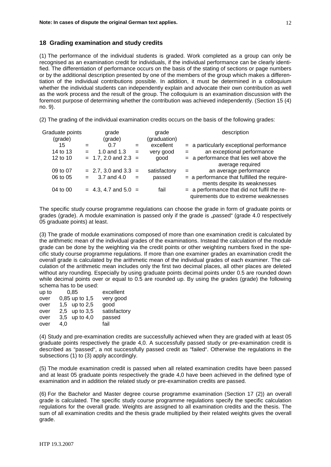## **18 Grading examination and study credits**

(1) The performance of the individual students is graded. Work completed as a group can only be recognised as an examination credit for individuals, if the individual performance can be clearly identified. The differentiation of performance occurs on the basis of the stating of sections or page numbers or by the additional description presented by one of the members of the group which makes a differentiation of the individual contributions possible. In addition, it must be determined in a colloquium whether the individual students can independently explain and advocate their own contribution as well as the work process and the result of the group. The colloquium is an examination discussion with the foremost purpose of determining whether the contribution was achieved independently. (Section 15 (4) no. 9).

(2) The grading of the individual examination credits occurs on the basis of the following grades:

| Graduate points<br>(grade) |     | grade<br>(grade)         |     | grade<br>(graduation) | description                                                                           |
|----------------------------|-----|--------------------------|-----|-----------------------|---------------------------------------------------------------------------------------|
| 15                         | $=$ | 0.7                      | $=$ | excellent             | $=$ a particularly exceptional performance                                            |
| 14 to 13                   | $=$ | 1.0 and $1.3$            | $=$ | very good             | an exceptional performance                                                            |
| 12 to 10                   |     | $= 1.7, 2.0$ and $2.3 =$ |     | good                  | $=$ a performance that lies well above the<br>average required                        |
| 09 to 07                   |     | $= 2.7, 3.0$ and $3.3 =$ |     | satisfactory          | an average performance                                                                |
| 06 to 05                   |     | 3.7 and 4.0<br>$=$ $-$   | $=$ | passed                | = a performance that fulfilled the require-<br>ments despite its weaknesses           |
| 04 to 00                   |     | $= 4.3, 4.7$ and $5.0 =$ |     | fail                  | $=$ a performance that did not fulfil the re-<br>quirements due to extreme weaknesses |

The specific study course programme regulations can choose the grade in form of graduate points or grades (grade). A module examination is passed only if the grade is "passed" (grade 4.0 respectively 05 graduate points) at least.

(3) The grade of module examinations composed of more than one examination credit is calculated by the arithmetic mean of the individual grades of the examinations. Instead the calculation of the module grade can be done by the weighting via the credit points or other weighting numbers fixed in the specific study course programme regulations. If more than one examiner grades an examination credit the overall grade is calculated by the arithmetic mean of the individual grades of each examiner. The calculation of the arithmetic mean includes only the first two decimal places, all other places are deleted without any rounding. Especially by using graduate points decimal points under 0.5 are rounded down while decimal points over or equal to 0.5 are rounded up. By using the grades (grade) the following schema has to be used:

| up to | 0.85               | excellent    |
|-------|--------------------|--------------|
| over  | 0,85 up to 1,5     | very good    |
| over  | 1,5 up to 2,5      | good         |
| over  | 2,5 up to 3,5      | satisfactory |
| over  | up to $4,0$<br>3.5 | passed       |
| over  | 4,0                | fail         |

(4) Study and pre-examination credits are successfully achieved when they are graded with at least 05 graduate points respectively the grade 4,0. A successfully passed study or pre-examination credit is described as "passed", a not successfully passed credit as "failed". Otherwise the regulations in the subsections (1) to (3) apply accordingly.

(5) The module examination credit is passed when all related examination credits have been passed and at least 05 graduate points respectively the grade 4,0 have been achieved in the defined type of examination and in addition the related study or pre-examination credits are passed.

(6) For the Bachelor and Master degree course programme examination (Section 17 (2)) an overall grade is calculated. The specific study course programme regulations specify the specific calculation regulations for the overall grade. Weights are assigned to all examination credits and the thesis. The sum of all examination credits and the thesis grade multiplied by their related weights gives the overall grade.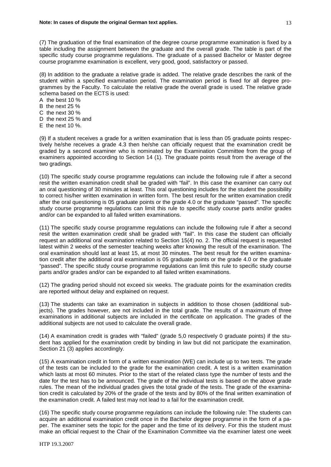(7) The graduation of the final examination of the degree course programme examination is fixed by a table including the assignment between the graduate and the overall grade. The table is part of the specific study course programme regulations. The graduate of a passed Bachelor or Master degree course programme examination is excellent, very good, good, satisfactory or passed.

(8) In addition to the graduate a relative grade is added. The relative grade describes the rank of the student within a specified examination period. The examination period is fixed for all degree programmes by the Faculty. To calculate the relative grade the overall grade is used. The relative grade schema based on the ECTS is used:

A the best 10 %

B the next 25 %

C the next 30 %

- D the next 25 % and
- E the next  $10\%$ .

(9) If a student receives a grade for a written examination that is less than 05 graduate points respectively he/she receives a grade 4.3 then he/she can officially request that the examination credit be graded by a second examiner who is nominated by the Examination Committee from the group of examiners appointed according to Section 14 (1). The graduate points result from the average of the two gradings.

(10) The specific study course programme regulations can include the following rule if after a second resit the written examination credit shall be graded with "fail". In this case the examiner can carry out an oral questioning of 30 minutes at least. This oral questioning includes for the student the possibility to correct his/her written examination in written form. The best result for the written examination credit after the oral questioning is 05 graduate points or the grade 4.0 or the graduate "passed". The specific study course programme regulations can limit this rule to specific study course parts and/or grades and/or can be expanded to all failed written examinations.

(11) The specific study course programme regulations can include the following rule if after a second resit the written examination credit shall be graded with "fail". In this case the student can officially request an additional oral examination related to Section 15(4) no. 2. The official request is requested latest within 2 weeks of the semester teaching weeks after knowing the result of the examination. The oral examination should last at least 15, at most 30 minutes. The best result for the written examination credit after the additional oral examination is 05 graduate points or the grade 4.0 or the graduate "passed". The specific study course programme regulations can limit this rule to specific study course parts and/or grades and/or can be expanded to all failed written examinations.

(12) The grading period should not exceed six weeks. The graduate points for the examination credits are reported without delay and explained on request.

(13) The students can take an examination in subjects in addition to those chosen (additional subjects). The grades however, are not included in the total grade. The results of a maximum of three examinations in additional subjects are included in the certificate on application. The grades of the additional subjects are not used to calculate the overall grade.

(14) A examination credit is grades with "failed" (grade 5,0 respectively 0 graduate points) if the student has applied for the examination credit by binding in law but did not participate the examination. Section 21 (3) applies accordingly.

(15) A examination credit in form of a written examination (WE) can include up to two tests. The grade of the tests can be included to the grade for the examination credit. A test is a written examination which lasts at most 60 minutes. Prior to the start of the related class type the number of tests and the date for the test has to be announced. The grade of the individual tests is based on the above grade rules. The mean of the individual grades gives the total grade of the tests. The grade of the examination credit is calculated by 20% of the grade of the tests and by 80% of the final written examination of the examination credit. A failed test may not lead to a fail for the examination credit.

(16) The specific study course programme regulations can include the following rule: The students can acquire an additional examination credit once in the Bachelor degree programme in the form of a paper. The examiner sets the topic for the paper and the time of its delivery. For this the student must make an official request to the Chair of the Examination Committee via the examiner latest one week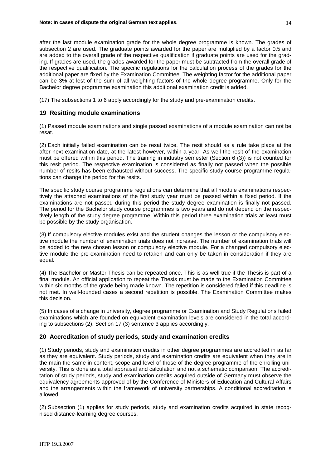after the last module examination grade for the whole degree programme is known. The grades of subsection 2 are used. The graduate points awarded for the paper are multiplied by a factor 0.5 and are added to the overall grade of the respective qualification if graduate points are used for the grading. If grades are used, the grades awarded for the paper must be subtracted from the overall grade of the respective qualification. The specific regulations for the calculation process of the grades for the additional paper are fixed by the Examination Committee. The weighting factor for the additional paper can be 3% at lest of the sum of all weighting factors of the whole degree programme. Only for the Bachelor degree programme examination this additional examination credit is added.

(17) The subsections 1 to 6 apply accordingly for the study and pre-examination credits.

### **19 Resitting module examinations**

(1) Passed module examinations and single passed examinations of a module examination can not be resat.

(2) Each initially failed examination can be resat twice. The resit should as a rule take place at the after next examination date, at the latest however, within a year. As well the resit of the examination must be offered within this period. The training in industry semester (Section 6 (3)) is not counted for this resit period. The respective examination is considered as finally not passed when the possible number of resits has been exhausted without success. The specific study course programme regulations can change the period for the resits.

The specific study course programme regulations can determine that all module examinations respectively the attached examinations of the first study year must be passed within a fixed period. If the examinations are not passed during this period the study degree examination is finally not passed. The period for the Bachelor study course programmes is two years and do not depend on the respectively length of the study degree programme. Within this period three examination trials at least must be possible by the study organisation.

(3) If compulsory elective modules exist and the student changes the lesson or the compulsory elective module the number of examination trials does not increase. The number of examination trials will be added to the new chosen lesson or compulsory elective module. For a changed compulsory elective module the pre-examination need to retaken and can only be taken in consideration if they are equal.

(4) The Bachelor or Master Thesis can be repeated once. This is as well true if the Thesis is part of a final module. An official application to repeat the Thesis must be made to the Examination Committee within six months of the grade being made known. The repetition is considered failed if this deadline is not met. In well-founded cases a second repetition is possible. The Examination Committee makes this decision.

(5) In cases of a change in university, degree programme or Examination and Study Regulations failed examinations which are founded on equivalent examination levels are considered in the total according to subsections (2). Section 17 (3) sentence 3 applies accordingly.

### **20 Accreditation of study periods, study and examination credits**

(1) Study periods, study and examination credits in other degree programmes are accredited in as far as they are equivalent. Study periods, study and examination credits are equivalent when they are in the main the same in content, scope and level of those of the degree programme of the enrolling university. This is done as a total appraisal and calculation and not a schematic comparison. The accreditation of study periods, study and examination credits acquired outside of Germany must observe the equivalency agreements approved of by the Conference of Ministers of Education and Cultural Affairs and the arrangements within the framework of university partnerships. A conditional accreditation is allowed.

(2) Subsection (1) applies for study periods, study and examination credits acquired in state recognised distance-learning degree courses.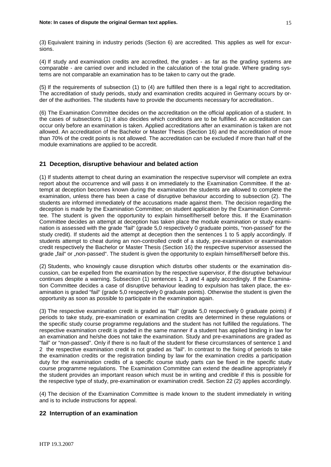(3) Equivalent training in industry periods (Section 6) are accredited. This applies as well for excursions.

(4) If study and examination credits are accredited, the grades - as far as the grading systems are comparable - are carried over and included in the calculation of the total grade. Where grading systems are not comparable an examination has to be taken to carry out the grade.

(5) If the requirements of subsection (1) to (4) are fulfilled then there is a legal right to accreditation. The accreditation of study periods, study and examination credits acquired in Germany occurs by order of the authorities. The students have to provide the documents necessary for accreditation..

(6) The Examination Committee decides on the accreditation on the official application of a student. In the cases of subsections (1) it also decides which conditions are to be fulfilled. An accreditation can occur only before an examination is taken. Applied accreditations after an examination is taken are not allowed. An accreditation of the Bachelor or Master Thesis (Section 16) and the accreditation of more than 70% of the credit points is not allowed. The accreditation can be excluded if more than half of the module examinations are applied to be accredit.

## **21 Deception, disruptive behaviour and belated action**

(1) If students attempt to cheat during an examination the respective supervisor will complete an extra report about the occurrence and will pass it on immediately to the Examination Committee. If the attempt at deception becomes known during the examination the students are allowed to complete the examination, unless there has been a case of disruptive behaviour according to subsection (2). The students are informed immediately of the accusations made against them. The decision regarding the deception is made by the Examination Committee; on student application by the Examination Committee. The student is given the opportunity to explain himself/herself before this. If the Examination Committee decides an attempt at deception has taken place the module examination or study examination is assessed with the grade "fail" (grade 5,0 respectively 0 graduate points, "non-passed" for the study credit). If students aid the attempt at deception then the sentences 1 to 5 apply accordingly. If students attempt to cheat during an non-controlled credit of a study, pre-examination or examination credit respectively the Bachelor or Master Thesis (Section 16) the respective supervisor assessed the grade "fail" or "non-passed". The student is given the opportunity to explain himself/herself before this.

(2) Students, who knowingly cause disruption which disturbs other students or the examination discussion, can be expelled from the examination by the respective supervisor, if the disruptive behaviour continues despite a warning. Subsection (1) sentences 1, 3 and 4 apply accordingly. If the Examination Committee decides a case of disruptive behaviour leading to expulsion has taken place, the examination is graded "fail" (grade 5,0 respectively 0 graduate points). Otherwise the student is given the opportunity as soon as possible to participate in the examination again.

(3) The respective examination credit is graded as "fail" (grade 5,0 respectively 0 graduate points) if periods to take study, pre-examination or examination credits are determined in these regulations or the specific study course programme regulations and the student has not fulfilled the regulations. The respective examination credit is graded in the same manner if a student has applied binding in law for an examination and he/she does not take the examination. Study and pre-examinations are graded as "fail" or "non-passed". Only if there is no fault of the student for these circumstances of sentence 1 and 2 the respective examination credit is not graded as "fail". In contrast to the fixing of periods to take the examination credits or the registration binding by law for the examination credits a participation duty for the examination credits of a specific course study parts can be fixed in the specific study course programme regulations. The Examination Committee can extend the deadline appropriately if the student provides an important reason which must be in writing and credible if this is possible for the respective type of study, pre-examination or examination credit. Section 22 (2) applies accordingly.

(4) The decision of the Examination Committee is made known to the student immediately in writing and is to include instructions for appeal.

## **22 Interruption of an examination**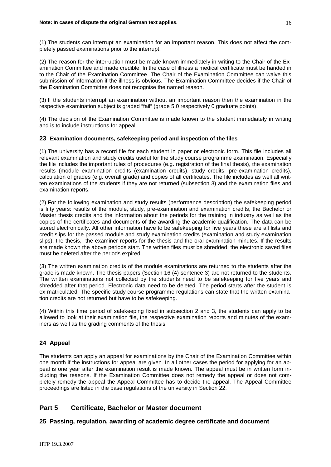(1) The students can interrupt an examination for an important reason. This does not affect the completely passed examinations prior to the interrupt.

(2) The reason for the interruption must be made known immediately in writing to the Chair of the Examination Committee and made credible. In the case of illness a medical certificate must be handed in to the Chair of the Examination Committee. The Chair of the Examination Committee can waive this submission of information if the illness is obvious. The Examination Committee decides if the Chair of the Examination Committee does not recognise the named reason.

(3) If the students interrupt an examination without an important reason then the examination in the respective examination subject is graded "fail" (grade 5,0 respectively 0 graduate points).

(4) The decision of the Examination Committee is made known to the student immediately in writing and is to include instructions for appeal.

#### **23 Examination documents, safekeeping period and inspection of the files**

(1) The university has a record file for each student in paper or electronic form. This file includes all relevant examination and study credits useful for the study course programme examination. Especially the file includes the important rules of procedures (e.g. registration of the final thesis), the examination results (module examination credits (examination credits), study credits, pre-examination credits), calculation of grades (e.g. overall grade) and copies of all certificates. The file includes as well all written examinations of the students if they are not returned (subsection 3) and the examination files and examination reports.

(2) For the following examination and study results (performance description) the safekeeping period is fifty years: results of the module, study, pre-examination and examination credits, the Bachelor or Master thesis credits and the information about the periods for the training in industry as well as the copies of the certificates and documents of the awarding the academic qualification. The data can be stored electronically. All other information have to be safekeeping for five years these are all lists and credit slips for the passed module and study examination credits (examination and study examination slips), the thesis, the examiner reports for the thesis and the oral examination minutes. If the results are made known the above periods start. The written files must be shredded; the electronic saved files must be deleted after the periods expired.

(3) The written examination credits of the module examinations are returned to the students after the grade is made known. The thesis papers (Section 16 (4) sentence 3) are not returned to the students. The written examinations not collected by the students need to be safekeeping for five years and shredded after that period. Electronic data need to be deleted. The period starts after the student is ex-matriculated. The specific study course programme regulations can state that the written examination credits are not returned but have to be safekeeping.

(4) Within this time period of safekeeping fixed in subsection 2 and 3, the students can apply to be allowed to look at their examination file, the respective examination reports and minutes of the examiners as well as the grading comments of the thesis.

## **24 Appeal**

The students can apply an appeal for examinations by the Chair of the Examination Committee within one month if the instructions for appeal are given. In all other cases the period for applying for an appeal is one year after the examination result is made known. The appeal must be in written form including the reasons. If the Examination Committee does not remedy the appeal or does not completely remedy the appeal the Appeal Committee has to decide the appeal. The Appeal Committee proceedings are listed in the base regulations of the university in Section 22.

## **Part 5 Certificate, Bachelor or Master document**

### **25 Passing, regulation, awarding of academic degree certificate and document**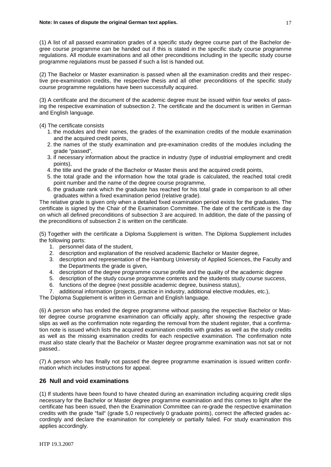(1) A list of all passed examination grades of a specific study degree course part of the Bachelor degree course programme can be handed out if this is stated in the specific study course programme regulations. All module examinations and all other preconditions including in the specific study course programme regulations must be passed if such a list is handed out.

(2) The Bachelor or Master examination is passed when all the examination credits and their respective pre-examination credits, the respective thesis and all other preconditions of the specific study course programme regulations have been successfully acquired.

(3) A certificate and the document of the academic degree must be issued within four weeks of passing the respective examination of subsection 2. The certificate and the document is written in German and English language.

- (4) The certificate consists
	- 1. the modules and their names, the grades of the examination credits of the module examination and the acquired credit points,
	- 2. the names of the study examination and pre-examination credits of the modules including the grade "passed",
	- 3. if necessary information about the practice in industry (type of industrial employment and credit points),
	- 4. the title and the grade of the Bachelor or Master thesis and the acquired credit points,
	- 5. the total grade and the information how the total grade is calculated, the reached total credit point number and the name of the degree course programme,
	- 6. the graduate rank which the graduate has reached for his total grade in comparison to all other graduates within a fixed examination period (relative grade).

The relative grade is given only when a detailed fixed examination period exists for the graduates. The certificate is signed by the Chair of the Examination Committee. The date of the certificate is the day on which all defined preconditions of subsection 3 are acquired. In addition, the date of the passing of the preconditions of subsection 2 is written on the certificate.

(5) Together with the certificate a Diploma Supplement is written. The Diploma Supplement includes the following parts:

- 1. personnel data of the student,
- 2. description and explanation of the resolved academic Bachelor or Master degree,
- 3. description and representation of the Hamburg University of Applied Sciences, the Faculty and the Departments the grade is given,
- 4. description of the degree programme course profile and the quality of the academic degree
- 5. description of the study course programme contents and the students study course success,
- 6. functions of the degree (next possible academic degree, business status),
- 7. additional information (projects, practice in industry, additional elective modules, etc.),

The Diploma Supplement is written in German and English language.

(6) A person who has ended the degree programme without passing the respective Bachelor or Master degree course programme examination can officially apply, after showing the respective grade slips as well as the confirmation note regarding the removal from the student register, that a confirmation note is issued which lists the acquired examination credits with grades as well as the study credits as well as the missing examination credits for each respective examination. The confirmation note must also state clearly that the Bachelor or Master degree programme examination was not sat or not passed..

(7) A person who has finally not passed the degree programme examination is issued written confirmation which includes instructions for appeal.

### **26 Null and void examinations**

(1) If students have been found to have cheated during an examination including acquiring credit slips necessary for the Bachelor or Master degree programme examination and this comes to light after the certificate has been issued, then the Examination Committee can re-grade the respective examination credits with the grade "fail" (grade 5,0 respectively 0 graduate points), correct the affected grades accordingly and declare the examination for completely or partially failed. For study examination this applies accordingly.